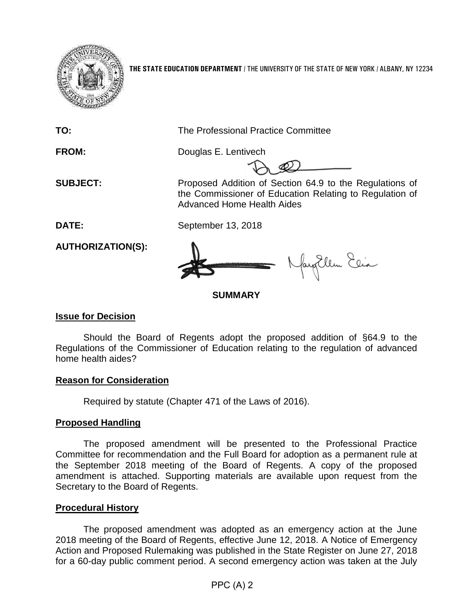

**THE STATE EDUCATION DEPARTMENT** / THE UNIVERSITY OF THE STATE OF NEW YORK / ALBANY, NY 12234

**TO:** The Professional Practice Committee

**FROM:** Douglas E. Lentivech

**SUBJECT:** Proposed Addition of Section 64.9 to the Regulations of the Commissioner of Education Relating to Regulation of Advanced Home Health Aides

fayEllen Elia

**DATE:** September 13, 2018

**AUTHORIZATION(S):**

# **SUMMARY**

# **Issue for Decision**

Should the Board of Regents adopt the proposed addition of §64.9 to the Regulations of the Commissioner of Education relating to the regulation of advanced home health aides?

# **Reason for Consideration**

Required by statute (Chapter 471 of the Laws of 2016).

# **Proposed Handling**

The proposed amendment will be presented to the Professional Practice Committee for recommendation and the Full Board for adoption as a permanent rule at the September 2018 meeting of the Board of Regents. A copy of the proposed amendment is attached. Supporting materials are available upon request from the Secretary to the Board of Regents.

# **Procedural History**

The proposed amendment was adopted as an emergency action at the June 2018 meeting of the Board of Regents, effective June 12, 2018. A Notice of Emergency Action and Proposed Rulemaking was published in the State Register on June 27, 2018 for a 60-day public comment period. A second emergency action was taken at the July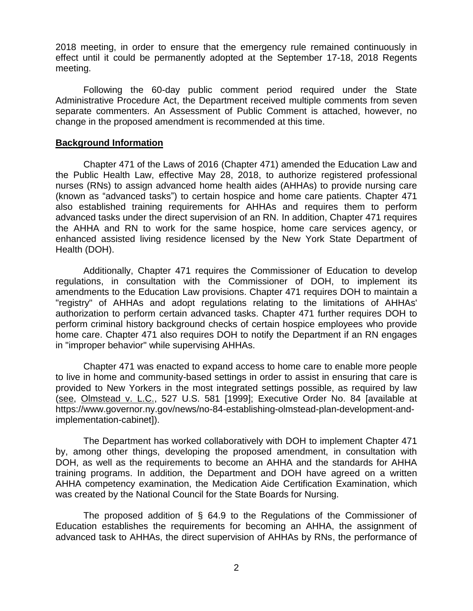2018 meeting, in order to ensure that the emergency rule remained continuously in effect until it could be permanently adopted at the September 17-18, 2018 Regents meeting.

Following the 60-day public comment period required under the State Administrative Procedure Act, the Department received multiple comments from seven separate commenters. An Assessment of Public Comment is attached, however, no change in the proposed amendment is recommended at this time.

## **Background Information**

Chapter 471 of the Laws of 2016 (Chapter 471) amended the Education Law and the Public Health Law, effective May 28, 2018, to authorize registered professional nurses (RNs) to assign advanced home health aides (AHHAs) to provide nursing care (known as "advanced tasks") to certain hospice and home care patients. Chapter 471 also established training requirements for AHHAs and requires them to perform advanced tasks under the direct supervision of an RN. In addition, Chapter 471 requires the AHHA and RN to work for the same hospice, home care services agency, or enhanced assisted living residence licensed by the New York State Department of Health (DOH).

Additionally, Chapter 471 requires the Commissioner of Education to develop regulations, in consultation with the Commissioner of DOH, to implement its amendments to the Education Law provisions. Chapter 471 requires DOH to maintain a "registry" of AHHAs and adopt regulations relating to the limitations of AHHAs' authorization to perform certain advanced tasks. Chapter 471 further requires DOH to perform criminal history background checks of certain hospice employees who provide home care. Chapter 471 also requires DOH to notify the Department if an RN engages in "improper behavior" while supervising AHHAs.

Chapter 471 was enacted to expand access to home care to enable more people to live in home and community-based settings in order to assist in ensuring that care is provided to New Yorkers in the most integrated settings possible, as required by law (see, Olmstead v. L.C., 527 U.S. 581 [1999]; Executive Order No. 84 [available at https://www.governor.ny.gov/news/no-84-establishing-olmstead-plan-development-andimplementation-cabinet]).

The Department has worked collaboratively with DOH to implement Chapter 471 by, among other things, developing the proposed amendment, in consultation with DOH, as well as the requirements to become an AHHA and the standards for AHHA training programs. In addition, the Department and DOH have agreed on a written AHHA competency examination, the Medication Aide Certification Examination, which was created by the National Council for the State Boards for Nursing.

The proposed addition of § 64.9 to the Regulations of the Commissioner of Education establishes the requirements for becoming an AHHA, the assignment of advanced task to AHHAs, the direct supervision of AHHAs by RNs, the performance of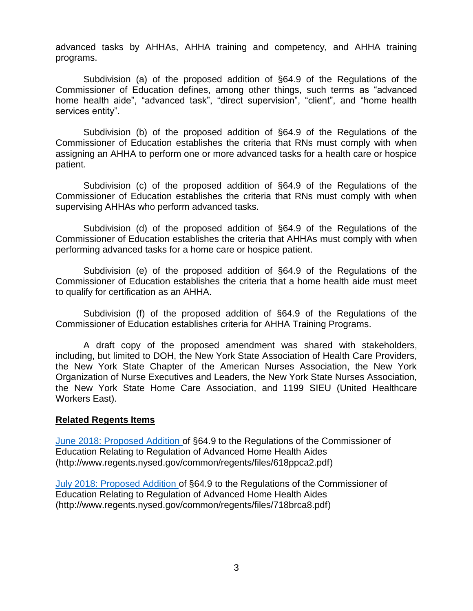advanced tasks by AHHAs, AHHA training and competency, and AHHA training programs.

Subdivision (a) of the proposed addition of §64.9 of the Regulations of the Commissioner of Education defines, among other things, such terms as "advanced home health aide", "advanced task", "direct supervision", "client", and "home health services entity".

Subdivision (b) of the proposed addition of §64.9 of the Regulations of the Commissioner of Education establishes the criteria that RNs must comply with when assigning an AHHA to perform one or more advanced tasks for a health care or hospice patient.

Subdivision (c) of the proposed addition of §64.9 of the Regulations of the Commissioner of Education establishes the criteria that RNs must comply with when supervising AHHAs who perform advanced tasks.

Subdivision (d) of the proposed addition of §64.9 of the Regulations of the Commissioner of Education establishes the criteria that AHHAs must comply with when performing advanced tasks for a home care or hospice patient.

Subdivision (e) of the proposed addition of §64.9 of the Regulations of the Commissioner of Education establishes the criteria that a home health aide must meet to qualify for certification as an AHHA.

Subdivision (f) of the proposed addition of §64.9 of the Regulations of the Commissioner of Education establishes criteria for AHHA Training Programs.

A draft copy of the proposed amendment was shared with stakeholders, including, but limited to DOH, the New York State Association of Health Care Providers, the New York State Chapter of the American Nurses Association, the New York Organization of Nurse Executives and Leaders, the New York State Nurses Association, the New York State Home Care Association, and 1199 SIEU (United Healthcare Workers East).

## **Related Regents Items**

[June 2018: Proposed Addition o](http://www.regents.nysed.gov/common/regents/files/618ppca2.pdf)f §64.9 to the Regulations of the Commissioner of Education Relating to Regulation of Advanced Home Health Aides (http://www.regents.nysed.gov/common/regents/files/618ppca2.pdf)

[July 2018: Proposed Addition o](http://www.regents.nysed.gov/common/regents/files/718brca8.pdf)f §64.9 to the Regulations of the Commissioner of Education Relating to Regulation of Advanced Home Health Aides (http://www.regents.nysed.gov/common/regents/files/718brca8.pdf)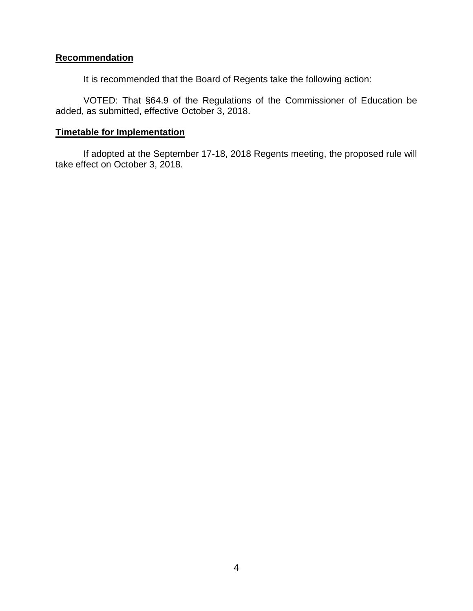# **Recommendation**

It is recommended that the Board of Regents take the following action:

VOTED: That §64.9 of the Regulations of the Commissioner of Education be added, as submitted, effective October 3, 2018.

## **Timetable for Implementation**

If adopted at the September 17-18, 2018 Regents meeting, the proposed rule will take effect on October 3, 2018.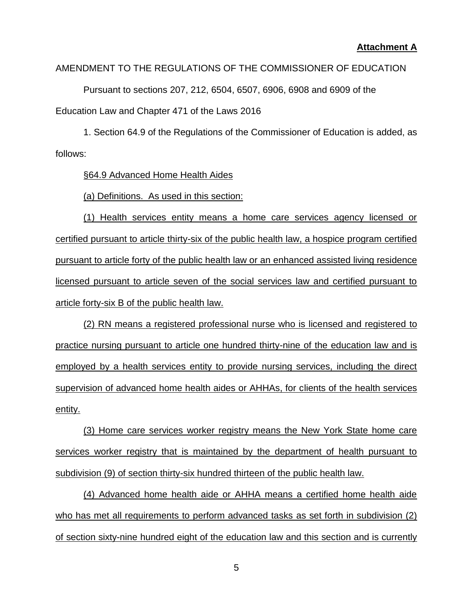## **Attachment A**

# AMENDMENT TO THE REGULATIONS OF THE COMMISSIONER OF EDUCATION

Pursuant to sections 207, 212, 6504, 6507, 6906, 6908 and 6909 of the Education Law and Chapter 471 of the Laws 2016

1. Section 64.9 of the Regulations of the Commissioner of Education is added, as follows:

§64.9 Advanced Home Health Aides

(a) Definitions. As used in this section:

(1) Health services entity means a home care services agency licensed or certified pursuant to article thirty-six of the public health law, a hospice program certified pursuant to article forty of the public health law or an enhanced assisted living residence licensed pursuant to article seven of the social services law and certified pursuant to article forty-six B of the public health law.

(2) RN means a registered professional nurse who is licensed and registered to practice nursing pursuant to article one hundred thirty-nine of the education law and is employed by a health services entity to provide nursing services, including the direct supervision of advanced home health aides or AHHAs, for clients of the health services entity.

(3) Home care services worker registry means the New York State home care services worker registry that is maintained by the department of health pursuant to subdivision (9) of section thirty-six hundred thirteen of the public health law.

(4) Advanced home health aide or AHHA means a certified home health aide who has met all requirements to perform advanced tasks as set forth in subdivision (2) of section sixty-nine hundred eight of the education law and this section and is currently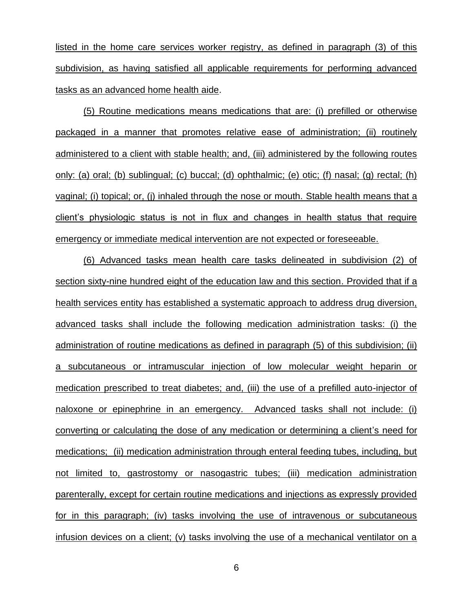listed in the home care services worker registry, as defined in paragraph (3) of this subdivision, as having satisfied all applicable requirements for performing advanced tasks as an advanced home health aide.

(5) Routine medications means medications that are: (i) prefilled or otherwise packaged in a manner that promotes relative ease of administration; (ii) routinely administered to a client with stable health; and, (iii) administered by the following routes only: (a) oral; (b) sublingual; (c) buccal; (d) ophthalmic; (e) otic; (f) nasal; (g) rectal; (h) vaginal; (i) topical; or, (j) inhaled through the nose or mouth. Stable health means that a client's physiologic status is not in flux and changes in health status that require emergency or immediate medical intervention are not expected or foreseeable.

(6) Advanced tasks mean health care tasks delineated in subdivision (2) of section sixty-nine hundred eight of the education law and this section. Provided that if a health services entity has established a systematic approach to address drug diversion, advanced tasks shall include the following medication administration tasks: (i) the administration of routine medications as defined in paragraph (5) of this subdivision; (ii) a subcutaneous or intramuscular injection of low molecular weight heparin or medication prescribed to treat diabetes; and, (iii) the use of a prefilled auto-injector of naloxone or epinephrine in an emergency. Advanced tasks shall not include: (i) converting or calculating the dose of any medication or determining a client's need for medications; (ii) medication administration through enteral feeding tubes, including, but not limited to, gastrostomy or nasogastric tubes; (iii) medication administration parenterally, except for certain routine medications and injections as expressly provided for in this paragraph; (iv) tasks involving the use of intravenous or subcutaneous infusion devices on a client; (v) tasks involving the use of a mechanical ventilator on a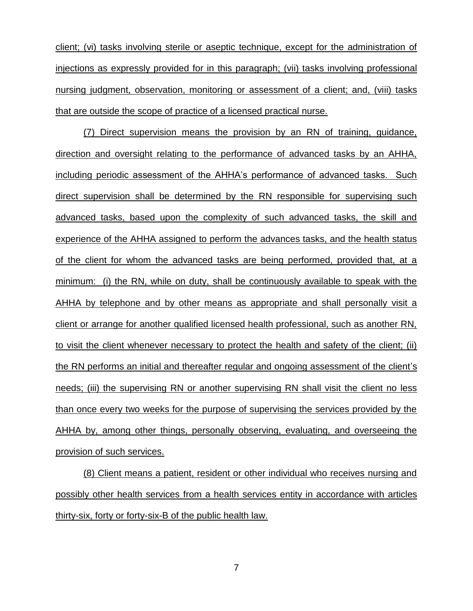client; (vi) tasks involving sterile or aseptic technique, except for the administration of injections as expressly provided for in this paragraph; (vii) tasks involving professional nursing judgment, observation, monitoring or assessment of a client; and, (viii) tasks that are outside the scope of practice of a licensed practical nurse.

(7) Direct supervision means the provision by an RN of training, guidance, direction and oversight relating to the performance of advanced tasks by an AHHA, including periodic assessment of the AHHA's performance of advanced tasks. Such direct supervision shall be determined by the RN responsible for supervising such advanced tasks, based upon the complexity of such advanced tasks, the skill and experience of the AHHA assigned to perform the advances tasks, and the health status of the client for whom the advanced tasks are being performed, provided that, at a minimum: (i) the RN, while on duty, shall be continuously available to speak with the AHHA by telephone and by other means as appropriate and shall personally visit a client or arrange for another qualified licensed health professional, such as another RN, to visit the client whenever necessary to protect the health and safety of the client; (ii) the RN performs an initial and thereafter regular and ongoing assessment of the client's needs; (iii) the supervising RN or another supervising RN shall visit the client no less than once every two weeks for the purpose of supervising the services provided by the AHHA by, among other things, personally observing, evaluating, and overseeing the provision of such services.

(8) Client means a patient, resident or other individual who receives nursing and possibly other health services from a health services entity in accordance with articles thirty-six, forty or forty-six-B of the public health law.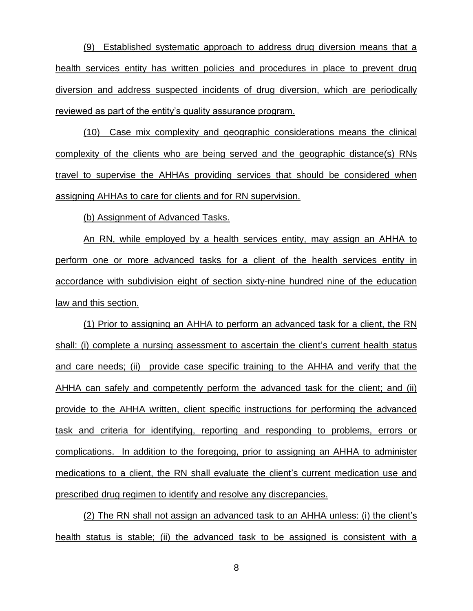(9) Established systematic approach to address drug diversion means that a health services entity has written policies and procedures in place to prevent drug diversion and address suspected incidents of drug diversion, which are periodically reviewed as part of the entity's quality assurance program.

(10) Case mix complexity and geographic considerations means the clinical complexity of the clients who are being served and the geographic distance(s) RNs travel to supervise the AHHAs providing services that should be considered when assigning AHHAs to care for clients and for RN supervision.

(b) Assignment of Advanced Tasks.

An RN, while employed by a health services entity, may assign an AHHA to perform one or more advanced tasks for a client of the health services entity in accordance with subdivision eight of section sixty-nine hundred nine of the education law and this section.

(1) Prior to assigning an AHHA to perform an advanced task for a client, the RN shall: (i) complete a nursing assessment to ascertain the client's current health status and care needs; (ii) provide case specific training to the AHHA and verify that the AHHA can safely and competently perform the advanced task for the client; and (ii) provide to the AHHA written, client specific instructions for performing the advanced task and criteria for identifying, reporting and responding to problems, errors or complications. In addition to the foregoing, prior to assigning an AHHA to administer medications to a client, the RN shall evaluate the client's current medication use and prescribed drug regimen to identify and resolve any discrepancies.

(2) The RN shall not assign an advanced task to an AHHA unless: (i) the client's health status is stable; (ii) the advanced task to be assigned is consistent with a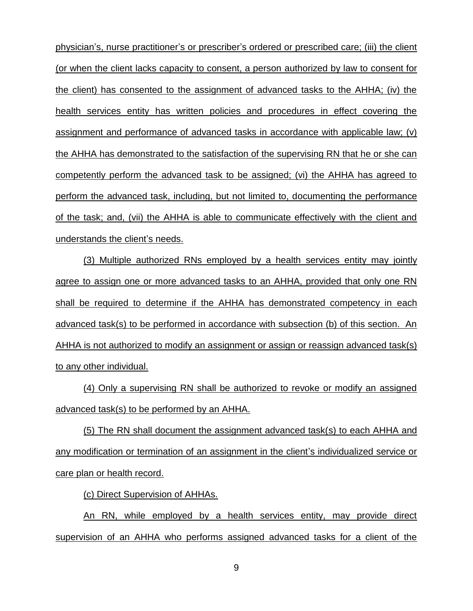physician's, nurse practitioner's or prescriber's ordered or prescribed care; (iii) the client (or when the client lacks capacity to consent, a person authorized by law to consent for the client) has consented to the assignment of advanced tasks to the AHHA; (iv) the health services entity has written policies and procedures in effect covering the assignment and performance of advanced tasks in accordance with applicable law; (v) the AHHA has demonstrated to the satisfaction of the supervising RN that he or she can competently perform the advanced task to be assigned; (vi) the AHHA has agreed to perform the advanced task, including, but not limited to, documenting the performance of the task; and, (vii) the AHHA is able to communicate effectively with the client and understands the client's needs.

(3) Multiple authorized RNs employed by a health services entity may jointly agree to assign one or more advanced tasks to an AHHA, provided that only one RN shall be required to determine if the AHHA has demonstrated competency in each advanced task(s) to be performed in accordance with subsection (b) of this section. An AHHA is not authorized to modify an assignment or assign or reassign advanced task(s) to any other individual.

(4) Only a supervising RN shall be authorized to revoke or modify an assigned advanced task(s) to be performed by an AHHA.

(5) The RN shall document the assignment advanced task(s) to each AHHA and any modification or termination of an assignment in the client's individualized service or care plan or health record.

(c) Direct Supervision of AHHAs.

An RN, while employed by a health services entity, may provide direct supervision of an AHHA who performs assigned advanced tasks for a client of the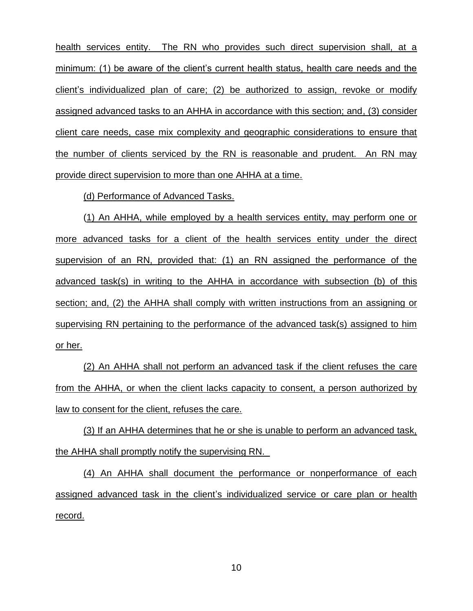health services entity. The RN who provides such direct supervision shall, at a minimum: (1) be aware of the client's current health status, health care needs and the client's individualized plan of care; (2) be authorized to assign, revoke or modify assigned advanced tasks to an AHHA in accordance with this section; and, (3) consider client care needs, case mix complexity and geographic considerations to ensure that the number of clients serviced by the RN is reasonable and prudent. An RN may provide direct supervision to more than one AHHA at a time.

(d) Performance of Advanced Tasks.

(1) An AHHA, while employed by a health services entity, may perform one or more advanced tasks for a client of the health services entity under the direct supervision of an RN, provided that: (1) an RN assigned the performance of the advanced task(s) in writing to the AHHA in accordance with subsection (b) of this section; and, (2) the AHHA shall comply with written instructions from an assigning or supervising RN pertaining to the performance of the advanced task(s) assigned to him or her.

(2) An AHHA shall not perform an advanced task if the client refuses the care from the AHHA, or when the client lacks capacity to consent, a person authorized by law to consent for the client, refuses the care.

(3) If an AHHA determines that he or she is unable to perform an advanced task, the AHHA shall promptly notify the supervising RN.

(4) An AHHA shall document the performance or nonperformance of each assigned advanced task in the client's individualized service or care plan or health record.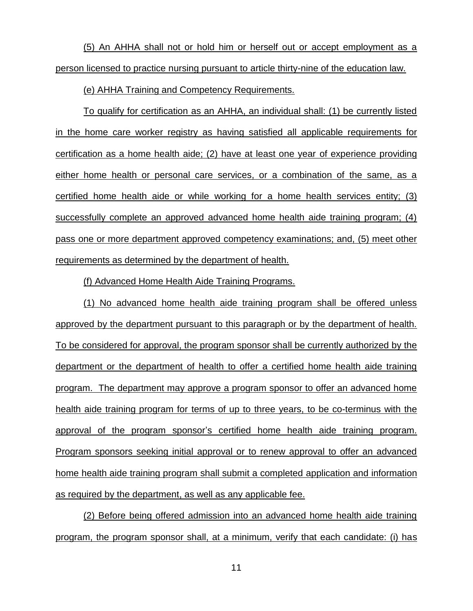(5) An AHHA shall not or hold him or herself out or accept employment as a person licensed to practice nursing pursuant to article thirty-nine of the education law.

(e) AHHA Training and Competency Requirements.

To qualify for certification as an AHHA, an individual shall: (1) be currently listed in the home care worker registry as having satisfied all applicable requirements for certification as a home health aide; (2) have at least one year of experience providing either home health or personal care services, or a combination of the same, as a certified home health aide or while working for a home health services entity; (3) successfully complete an approved advanced home health aide training program; (4) pass one or more department approved competency examinations; and, (5) meet other requirements as determined by the department of health.

(f) Advanced Home Health Aide Training Programs.

(1) No advanced home health aide training program shall be offered unless approved by the department pursuant to this paragraph or by the department of health. To be considered for approval, the program sponsor shall be currently authorized by the department or the department of health to offer a certified home health aide training program. The department may approve a program sponsor to offer an advanced home health aide training program for terms of up to three years, to be co-terminus with the approval of the program sponsor's certified home health aide training program. Program sponsors seeking initial approval or to renew approval to offer an advanced home health aide training program shall submit a completed application and information as required by the department, as well as any applicable fee.

(2) Before being offered admission into an advanced home health aide training program, the program sponsor shall, at a minimum, verify that each candidate: (i) has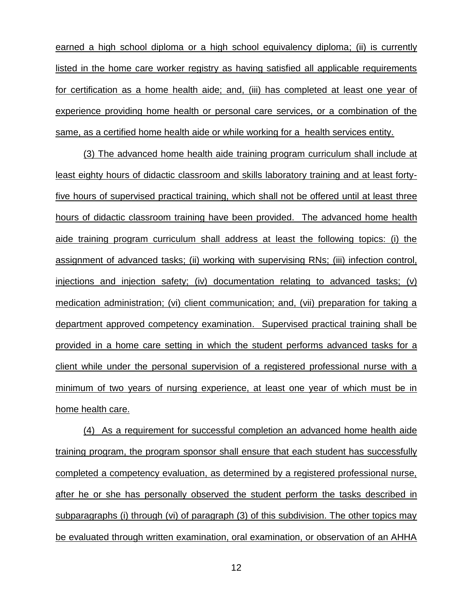earned a high school diploma or a high school equivalency diploma; (ii) is currently listed in the home care worker registry as having satisfied all applicable requirements for certification as a home health aide; and, (iii) has completed at least one year of experience providing home health or personal care services, or a combination of the same, as a certified home health aide or while working for a health services entity.

(3) The advanced home health aide training program curriculum shall include at least eighty hours of didactic classroom and skills laboratory training and at least fortyfive hours of supervised practical training, which shall not be offered until at least three hours of didactic classroom training have been provided. The advanced home health aide training program curriculum shall address at least the following topics: (i) the assignment of advanced tasks; (ii) working with supervising RNs; (iii) infection control, injections and injection safety; (iv) documentation relating to advanced tasks; (v) medication administration; (vi) client communication; and, (vii) preparation for taking a department approved competency examination. Supervised practical training shall be provided in a home care setting in which the student performs advanced tasks for a client while under the personal supervision of a registered professional nurse with a minimum of two years of nursing experience, at least one year of which must be in home health care.

(4) As a requirement for successful completion an advanced home health aide training program, the program sponsor shall ensure that each student has successfully completed a competency evaluation, as determined by a registered professional nurse, after he or she has personally observed the student perform the tasks described in subparagraphs (i) through (vi) of paragraph (3) of this subdivision. The other topics may be evaluated through written examination, oral examination, or observation of an AHHA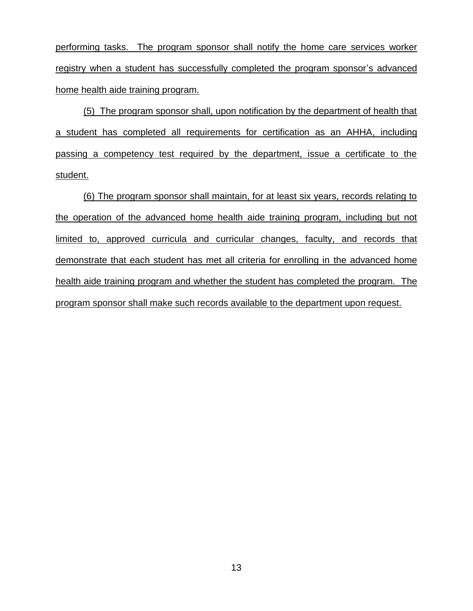performing tasks. The program sponsor shall notify the home care services worker registry when a student has successfully completed the program sponsor's advanced home health aide training program.

(5) The program sponsor shall, upon notification by the department of health that a student has completed all requirements for certification as an AHHA, including passing a competency test required by the department, issue a certificate to the student.

(6) The program sponsor shall maintain, for at least six years, records relating to the operation of the advanced home health aide training program, including but not limited to, approved curricula and curricular changes, faculty, and records that demonstrate that each student has met all criteria for enrolling in the advanced home health aide training program and whether the student has completed the program. The program sponsor shall make such records available to the department upon request.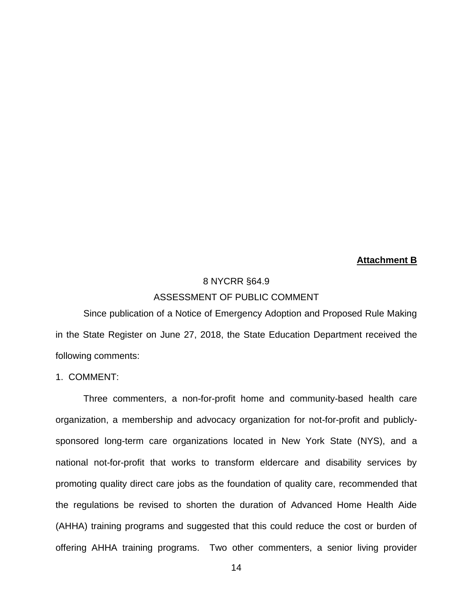# **Attachment B**

# 8 NYCRR §64.9 ASSESSMENT OF PUBLIC COMMENT

Since publication of a Notice of Emergency Adoption and Proposed Rule Making in the State Register on June 27, 2018, the State Education Department received the following comments:

## 1. COMMENT:

Three commenters, a non-for-profit home and community-based health care organization, a membership and advocacy organization for not-for-profit and publiclysponsored long-term care organizations located in New York State (NYS), and a national not-for-profit that works to transform eldercare and disability services by promoting quality direct care jobs as the foundation of quality care, recommended that the regulations be revised to shorten the duration of Advanced Home Health Aide (AHHA) training programs and suggested that this could reduce the cost or burden of offering AHHA training programs. Two other commenters, a senior living provider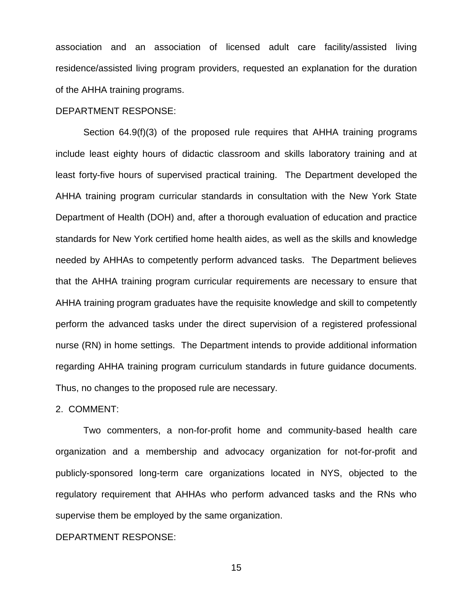association and an association of licensed adult care facility/assisted living residence/assisted living program providers, requested an explanation for the duration of the AHHA training programs.

#### DEPARTMENT RESPONSE:

Section 64.9(f)(3) of the proposed rule requires that AHHA training programs include least eighty hours of didactic classroom and skills laboratory training and at least forty-five hours of supervised practical training. The Department developed the AHHA training program curricular standards in consultation with the New York State Department of Health (DOH) and, after a thorough evaluation of education and practice standards for New York certified home health aides, as well as the skills and knowledge needed by AHHAs to competently perform advanced tasks. The Department believes that the AHHA training program curricular requirements are necessary to ensure that AHHA training program graduates have the requisite knowledge and skill to competently perform the advanced tasks under the direct supervision of a registered professional nurse (RN) in home settings. The Department intends to provide additional information regarding AHHA training program curriculum standards in future guidance documents. Thus, no changes to the proposed rule are necessary.

#### 2. COMMENT:

Two commenters, a non-for-profit home and community-based health care organization and a membership and advocacy organization for not-for-profit and publicly-sponsored long-term care organizations located in NYS, objected to the regulatory requirement that AHHAs who perform advanced tasks and the RNs who supervise them be employed by the same organization.

## DEPARTMENT RESPONSE: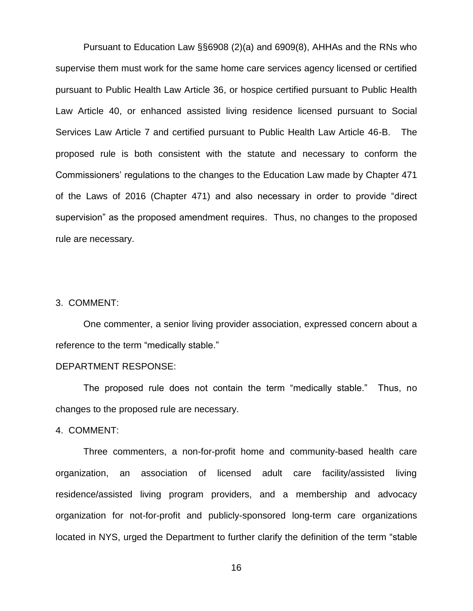Pursuant to Education Law §§6908 (2)(a) and 6909(8), AHHAs and the RNs who supervise them must work for the same home care services agency licensed or certified pursuant to Public Health Law Article 36, or hospice certified pursuant to Public Health Law Article 40, or enhanced assisted living residence licensed pursuant to Social Services Law Article 7 and certified pursuant to Public Health Law Article 46-B. The proposed rule is both consistent with the statute and necessary to conform the Commissioners' regulations to the changes to the Education Law made by Chapter 471 of the Laws of 2016 (Chapter 471) and also necessary in order to provide "direct supervision" as the proposed amendment requires. Thus, no changes to the proposed rule are necessary.

## 3. COMMENT:

One commenter, a senior living provider association, expressed concern about a reference to the term "medically stable."

#### DEPARTMENT RESPONSE:

The proposed rule does not contain the term "medically stable." Thus, no changes to the proposed rule are necessary.

4. COMMENT:

Three commenters, a non-for-profit home and community-based health care organization, an association of licensed adult care facility/assisted living residence/assisted living program providers, and a membership and advocacy organization for not-for-profit and publicly-sponsored long-term care organizations located in NYS, urged the Department to further clarify the definition of the term "stable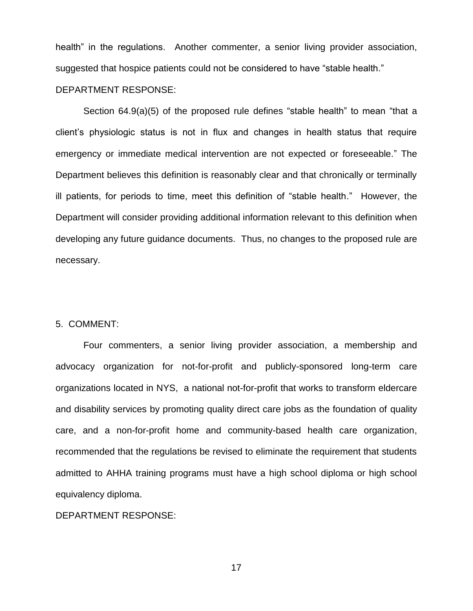health" in the regulations. Another commenter, a senior living provider association, suggested that hospice patients could not be considered to have "stable health."

## DEPARTMENT RESPONSE:

Section 64.9(a)(5) of the proposed rule defines "stable health" to mean "that a client's physiologic status is not in flux and changes in health status that require emergency or immediate medical intervention are not expected or foreseeable." The Department believes this definition is reasonably clear and that chronically or terminally ill patients, for periods to time, meet this definition of "stable health." However, the Department will consider providing additional information relevant to this definition when developing any future guidance documents. Thus, no changes to the proposed rule are necessary.

#### 5. COMMENT:

Four commenters, a senior living provider association, a membership and advocacy organization for not-for-profit and publicly-sponsored long-term care organizations located in NYS, a national not-for-profit that works to transform eldercare and disability services by promoting quality direct care jobs as the foundation of quality care, and a non-for-profit home and community-based health care organization, recommended that the regulations be revised to eliminate the requirement that students admitted to AHHA training programs must have a high school diploma or high school equivalency diploma.

## DEPARTMENT RESPONSE: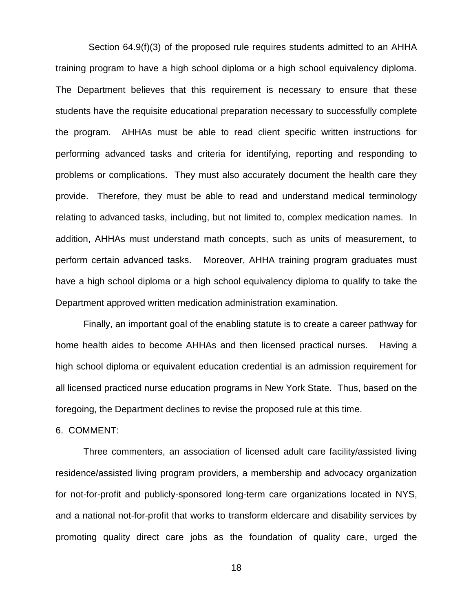Section 64.9(f)(3) of the proposed rule requires students admitted to an AHHA training program to have a high school diploma or a high school equivalency diploma. The Department believes that this requirement is necessary to ensure that these students have the requisite educational preparation necessary to successfully complete the program. AHHAs must be able to read client specific written instructions for performing advanced tasks and criteria for identifying, reporting and responding to problems or complications. They must also accurately document the health care they provide. Therefore, they must be able to read and understand medical terminology relating to advanced tasks, including, but not limited to, complex medication names. In addition, AHHAs must understand math concepts, such as units of measurement, to perform certain advanced tasks. Moreover, AHHA training program graduates must have a high school diploma or a high school equivalency diploma to qualify to take the Department approved written medication administration examination.

Finally, an important goal of the enabling statute is to create a career pathway for home health aides to become AHHAs and then licensed practical nurses. Having a high school diploma or equivalent education credential is an admission requirement for all licensed practiced nurse education programs in New York State. Thus, based on the foregoing, the Department declines to revise the proposed rule at this time.

## 6. COMMENT:

Three commenters, an association of licensed adult care facility/assisted living residence/assisted living program providers, a membership and advocacy organization for not-for-profit and publicly-sponsored long-term care organizations located in NYS, and a national not-for-profit that works to transform eldercare and disability services by promoting quality direct care jobs as the foundation of quality care, urged the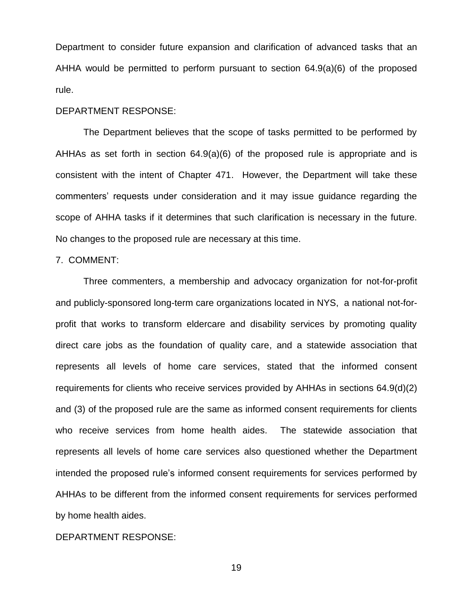Department to consider future expansion and clarification of advanced tasks that an AHHA would be permitted to perform pursuant to section 64.9(a)(6) of the proposed rule.

## DEPARTMENT RESPONSE:

The Department believes that the scope of tasks permitted to be performed by AHHAs as set forth in section 64.9(a)(6) of the proposed rule is appropriate and is consistent with the intent of Chapter 471. However, the Department will take these commenters' requests under consideration and it may issue guidance regarding the scope of AHHA tasks if it determines that such clarification is necessary in the future. No changes to the proposed rule are necessary at this time.

#### 7. COMMENT:

Three commenters, a membership and advocacy organization for not-for-profit and publicly-sponsored long-term care organizations located in NYS, a national not-forprofit that works to transform eldercare and disability services by promoting quality direct care jobs as the foundation of quality care, and a statewide association that represents all levels of home care services, stated that the informed consent requirements for clients who receive services provided by AHHAs in sections 64.9(d)(2) and (3) of the proposed rule are the same as informed consent requirements for clients who receive services from home health aides. The statewide association that represents all levels of home care services also questioned whether the Department intended the proposed rule's informed consent requirements for services performed by AHHAs to be different from the informed consent requirements for services performed by home health aides.

## DEPARTMENT RESPONSE: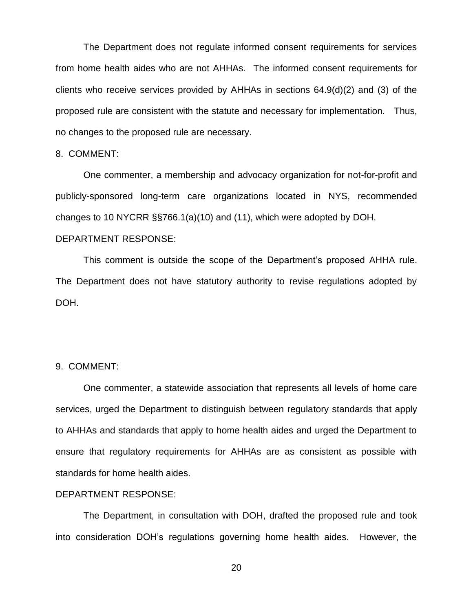The Department does not regulate informed consent requirements for services from home health aides who are not AHHAs. The informed consent requirements for clients who receive services provided by AHHAs in sections 64.9(d)(2) and (3) of the proposed rule are consistent with the statute and necessary for implementation. Thus, no changes to the proposed rule are necessary.

## 8. COMMENT:

One commenter, a membership and advocacy organization for not-for-profit and publicly-sponsored long-term care organizations located in NYS, recommended changes to 10 NYCRR §§766.1(a)(10) and (11), which were adopted by DOH. DEPARTMENT RESPONSE:

This comment is outside the scope of the Department's proposed AHHA rule. The Department does not have statutory authority to revise regulations adopted by DOH.

#### 9. COMMENT:

One commenter, a statewide association that represents all levels of home care services, urged the Department to distinguish between regulatory standards that apply to AHHAs and standards that apply to home health aides and urged the Department to ensure that regulatory requirements for AHHAs are as consistent as possible with standards for home health aides.

#### DEPARTMENT RESPONSE:

The Department, in consultation with DOH, drafted the proposed rule and took into consideration DOH's regulations governing home health aides. However, the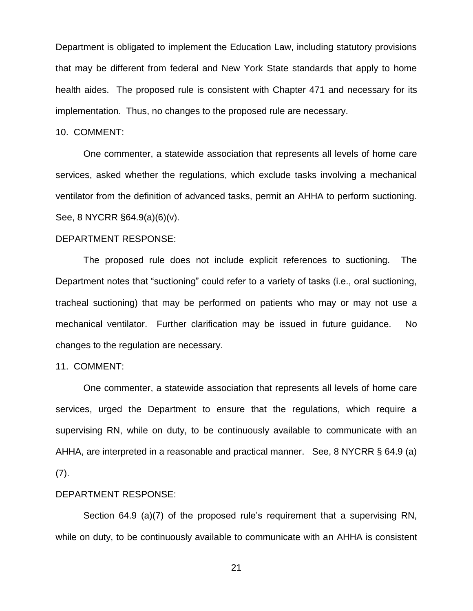Department is obligated to implement the Education Law, including statutory provisions that may be different from federal and New York State standards that apply to home health aides. The proposed rule is consistent with Chapter 471 and necessary for its implementation. Thus, no changes to the proposed rule are necessary.

#### 10. COMMENT:

One commenter, a statewide association that represents all levels of home care services, asked whether the regulations, which exclude tasks involving a mechanical ventilator from the definition of advanced tasks, permit an AHHA to perform suctioning. See, 8 NYCRR §64.9(a)(6)(v).

## DEPARTMENT RESPONSE:

The proposed rule does not include explicit references to suctioning. The Department notes that "suctioning" could refer to a variety of tasks (i.e., oral suctioning, tracheal suctioning) that may be performed on patients who may or may not use a mechanical ventilator. Further clarification may be issued in future guidance. No changes to the regulation are necessary.

#### 11. COMMENT:

One commenter, a statewide association that represents all levels of home care services, urged the Department to ensure that the regulations, which require a supervising RN, while on duty, to be continuously available to communicate with an AHHA, are interpreted in a reasonable and practical manner. See, 8 NYCRR § 64.9 (a) (7).

#### DEPARTMENT RESPONSE:

Section 64.9 (a)(7) of the proposed rule's requirement that a supervising RN, while on duty, to be continuously available to communicate with an AHHA is consistent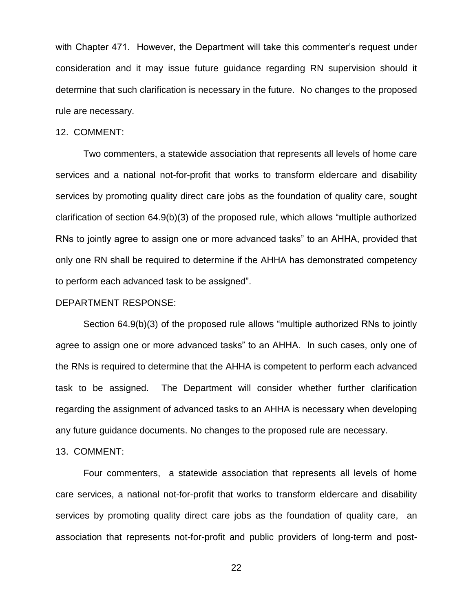with Chapter 471. However, the Department will take this commenter's request under consideration and it may issue future guidance regarding RN supervision should it determine that such clarification is necessary in the future. No changes to the proposed rule are necessary.

#### 12. COMMENT:

Two commenters, a statewide association that represents all levels of home care services and a national not-for-profit that works to transform eldercare and disability services by promoting quality direct care jobs as the foundation of quality care, sought clarification of section 64.9(b)(3) of the proposed rule, which allows "multiple authorized RNs to jointly agree to assign one or more advanced tasks" to an AHHA, provided that only one RN shall be required to determine if the AHHA has demonstrated competency to perform each advanced task to be assigned".

## DEPARTMENT RESPONSE:

Section 64.9(b)(3) of the proposed rule allows "multiple authorized RNs to jointly agree to assign one or more advanced tasks" to an AHHA. In such cases, only one of the RNs is required to determine that the AHHA is competent to perform each advanced task to be assigned. The Department will consider whether further clarification regarding the assignment of advanced tasks to an AHHA is necessary when developing any future guidance documents. No changes to the proposed rule are necessary.

#### 13. COMMENT:

Four commenters, a statewide association that represents all levels of home care services, a national not-for-profit that works to transform eldercare and disability services by promoting quality direct care jobs as the foundation of quality care, an association that represents not-for-profit and public providers of long-term and post-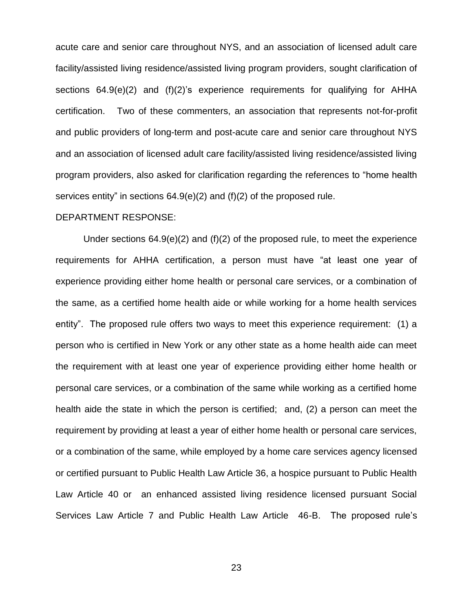acute care and senior care throughout NYS, and an association of licensed adult care facility/assisted living residence/assisted living program providers, sought clarification of sections 64.9(e)(2) and (f)(2)'s experience requirements for qualifying for AHHA certification. Two of these commenters, an association that represents not-for-profit and public providers of long-term and post-acute care and senior care throughout NYS and an association of licensed adult care facility/assisted living residence/assisted living program providers, also asked for clarification regarding the references to "home health services entity" in sections 64.9(e)(2) and (f)(2) of the proposed rule.

## DEPARTMENT RESPONSE:

Under sections  $64.9(e)(2)$  and  $(f)(2)$  of the proposed rule, to meet the experience requirements for AHHA certification, a person must have "at least one year of experience providing either home health or personal care services, or a combination of the same, as a certified home health aide or while working for a home health services entity". The proposed rule offers two ways to meet this experience requirement: (1) a person who is certified in New York or any other state as a home health aide can meet the requirement with at least one year of experience providing either home health or personal care services, or a combination of the same while working as a certified home health aide the state in which the person is certified; and, (2) a person can meet the requirement by providing at least a year of either home health or personal care services, or a combination of the same, while employed by a home care services agency licensed or certified pursuant to Public Health Law Article 36, a hospice pursuant to Public Health Law Article 40 or an enhanced assisted living residence licensed pursuant Social Services Law Article 7 and Public Health Law Article 46-B. The proposed rule's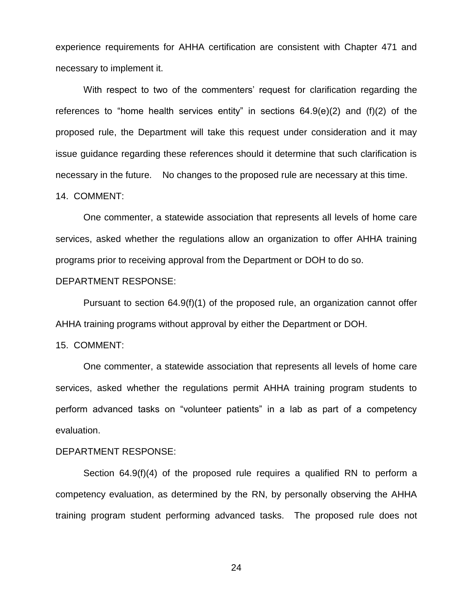experience requirements for AHHA certification are consistent with Chapter 471 and necessary to implement it.

With respect to two of the commenters' request for clarification regarding the references to "home health services entity" in sections 64.9(e)(2) and (f)(2) of the proposed rule, the Department will take this request under consideration and it may issue guidance regarding these references should it determine that such clarification is necessary in the future. No changes to the proposed rule are necessary at this time.

#### 14. COMMENT:

One commenter, a statewide association that represents all levels of home care services, asked whether the regulations allow an organization to offer AHHA training programs prior to receiving approval from the Department or DOH to do so.

## DEPARTMENT RESPONSE:

Pursuant to section 64.9(f)(1) of the proposed rule, an organization cannot offer AHHA training programs without approval by either the Department or DOH.

#### 15. COMMENT:

One commenter, a statewide association that represents all levels of home care services, asked whether the regulations permit AHHA training program students to perform advanced tasks on "volunteer patients" in a lab as part of a competency evaluation.

## DEPARTMENT RESPONSE:

Section 64.9(f)(4) of the proposed rule requires a qualified RN to perform a competency evaluation, as determined by the RN, by personally observing the AHHA training program student performing advanced tasks. The proposed rule does not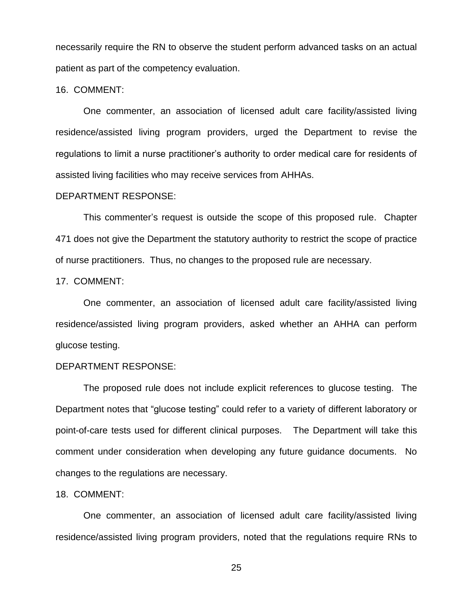necessarily require the RN to observe the student perform advanced tasks on an actual patient as part of the competency evaluation.

16. COMMENT:

One commenter, an association of licensed adult care facility/assisted living residence/assisted living program providers, urged the Department to revise the regulations to limit a nurse practitioner's authority to order medical care for residents of assisted living facilities who may receive services from AHHAs.

#### DEPARTMENT RESPONSE:

This commenter's request is outside the scope of this proposed rule. Chapter 471 does not give the Department the statutory authority to restrict the scope of practice of nurse practitioners. Thus, no changes to the proposed rule are necessary.

#### 17. COMMENT:

One commenter, an association of licensed adult care facility/assisted living residence/assisted living program providers, asked whether an AHHA can perform glucose testing.

## DEPARTMENT RESPONSE:

The proposed rule does not include explicit references to glucose testing. The Department notes that "glucose testing" could refer to a variety of different laboratory or point-of-care tests used for different clinical purposes. The Department will take this comment under consideration when developing any future guidance documents. No changes to the regulations are necessary.

## 18. COMMENT:

One commenter, an association of licensed adult care facility/assisted living residence/assisted living program providers, noted that the regulations require RNs to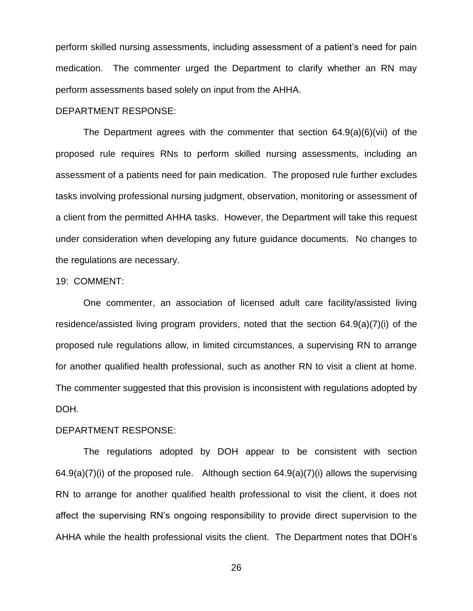perform skilled nursing assessments, including assessment of a patient's need for pain medication. The commenter urged the Department to clarify whether an RN may perform assessments based solely on input from the AHHA.

DEPARTMENT RESPONSE:

The Department agrees with the commenter that section 64.9(a)(6)(vii) of the proposed rule requires RNs to perform skilled nursing assessments, including an assessment of a patients need for pain medication. The proposed rule further excludes tasks involving professional nursing judgment, observation, monitoring or assessment of a client from the permitted AHHA tasks. However, the Department will take this request under consideration when developing any future guidance documents. No changes to the regulations are necessary.

## 19: COMMENT:

One commenter, an association of licensed adult care facility/assisted living residence/assisted living program providers, noted that the section 64.9(a)(7)(i) of the proposed rule regulations allow, in limited circumstances, a supervising RN to arrange for another qualified health professional, such as another RN to visit a client at home. The commenter suggested that this provision is inconsistent with regulations adopted by DOH.

## DEPARTMENT RESPONSE:

The regulations adopted by DOH appear to be consistent with section  $64.9(a)(7)(i)$  of the proposed rule. Although section  $64.9(a)(7)(i)$  allows the supervising RN to arrange for another qualified health professional to visit the client, it does not affect the supervising RN's ongoing responsibility to provide direct supervision to the AHHA while the health professional visits the client. The Department notes that DOH's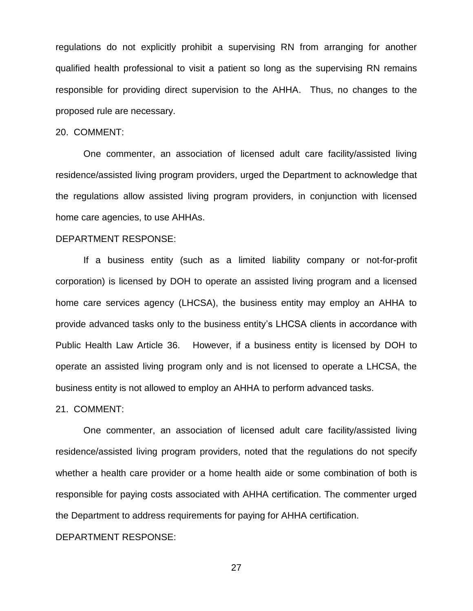regulations do not explicitly prohibit a supervising RN from arranging for another qualified health professional to visit a patient so long as the supervising RN remains responsible for providing direct supervision to the AHHA. Thus, no changes to the proposed rule are necessary.

#### 20. COMMENT:

One commenter, an association of licensed adult care facility/assisted living residence/assisted living program providers, urged the Department to acknowledge that the regulations allow assisted living program providers, in conjunction with licensed home care agencies, to use AHHAs.

#### DEPARTMENT RESPONSE:

If a business entity (such as a limited liability company or not-for-profit corporation) is licensed by DOH to operate an assisted living program and a licensed home care services agency (LHCSA), the business entity may employ an AHHA to provide advanced tasks only to the business entity's LHCSA clients in accordance with Public Health Law Article 36. However, if a business entity is licensed by DOH to operate an assisted living program only and is not licensed to operate a LHCSA, the business entity is not allowed to employ an AHHA to perform advanced tasks.

21. COMMENT:

One commenter, an association of licensed adult care facility/assisted living residence/assisted living program providers, noted that the regulations do not specify whether a health care provider or a home health aide or some combination of both is responsible for paying costs associated with AHHA certification. The commenter urged the Department to address requirements for paying for AHHA certification.

## DEPARTMENT RESPONSE: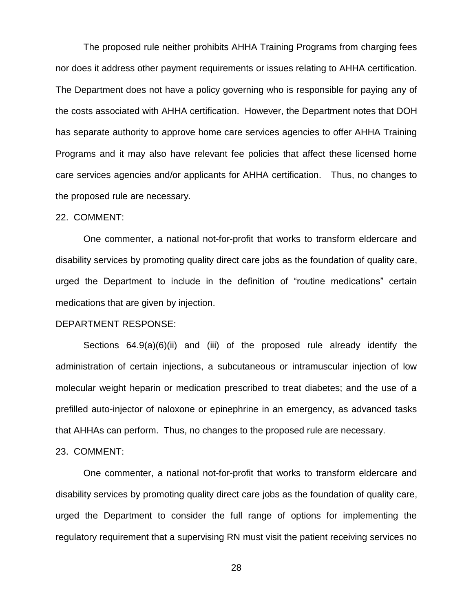The proposed rule neither prohibits AHHA Training Programs from charging fees nor does it address other payment requirements or issues relating to AHHA certification. The Department does not have a policy governing who is responsible for paying any of the costs associated with AHHA certification. However, the Department notes that DOH has separate authority to approve home care services agencies to offer AHHA Training Programs and it may also have relevant fee policies that affect these licensed home care services agencies and/or applicants for AHHA certification. Thus, no changes to the proposed rule are necessary.

#### 22. COMMENT:

One commenter, a national not-for-profit that works to transform eldercare and disability services by promoting quality direct care jobs as the foundation of quality care, urged the Department to include in the definition of "routine medications" certain medications that are given by injection.

#### DEPARTMENT RESPONSE:

Sections 64.9(a)(6)(ii) and (iii) of the proposed rule already identify the administration of certain injections, a subcutaneous or intramuscular injection of low molecular weight heparin or medication prescribed to treat diabetes; and the use of a prefilled auto-injector of naloxone or epinephrine in an emergency, as advanced tasks that AHHAs can perform. Thus, no changes to the proposed rule are necessary.

#### 23. COMMENT:

One commenter, a national not-for-profit that works to transform eldercare and disability services by promoting quality direct care jobs as the foundation of quality care, urged the Department to consider the full range of options for implementing the regulatory requirement that a supervising RN must visit the patient receiving services no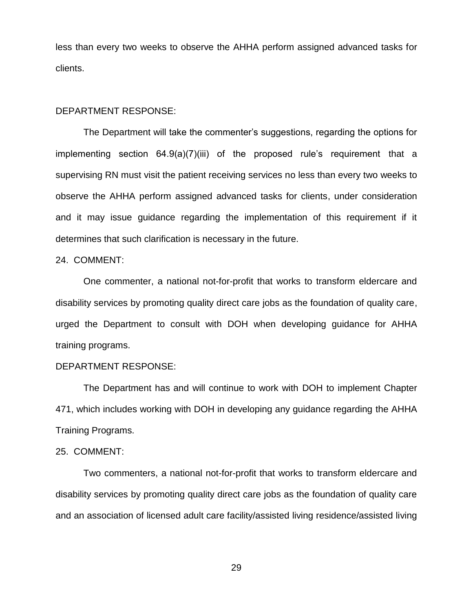less than every two weeks to observe the AHHA perform assigned advanced tasks for clients.

## DEPARTMENT RESPONSE:

The Department will take the commenter's suggestions, regarding the options for implementing section 64.9(a)(7)(iii) of the proposed rule's requirement that a supervising RN must visit the patient receiving services no less than every two weeks to observe the AHHA perform assigned advanced tasks for clients, under consideration and it may issue guidance regarding the implementation of this requirement if it determines that such clarification is necessary in the future.

#### 24. COMMENT:

One commenter, a national not-for-profit that works to transform eldercare and disability services by promoting quality direct care jobs as the foundation of quality care, urged the Department to consult with DOH when developing guidance for AHHA training programs.

# DEPARTMENT RESPONSE:

The Department has and will continue to work with DOH to implement Chapter 471, which includes working with DOH in developing any guidance regarding the AHHA Training Programs.

## 25. COMMENT:

Two commenters, a national not-for-profit that works to transform eldercare and disability services by promoting quality direct care jobs as the foundation of quality care and an association of licensed adult care facility/assisted living residence/assisted living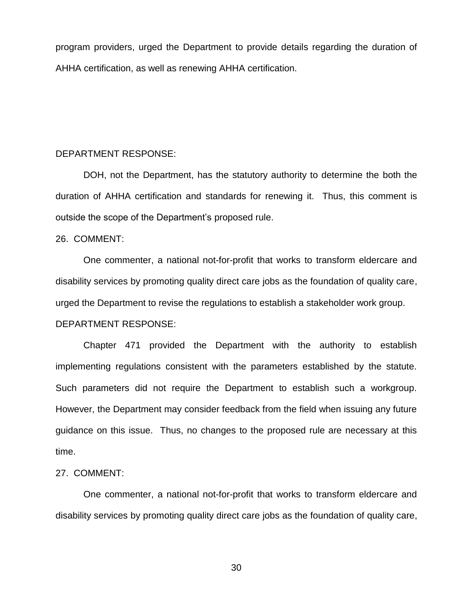program providers, urged the Department to provide details regarding the duration of AHHA certification, as well as renewing AHHA certification.

## DEPARTMENT RESPONSE:

DOH, not the Department, has the statutory authority to determine the both the duration of AHHA certification and standards for renewing it. Thus, this comment is outside the scope of the Department's proposed rule.

#### 26. COMMENT:

One commenter, a national not-for-profit that works to transform eldercare and disability services by promoting quality direct care jobs as the foundation of quality care, urged the Department to revise the regulations to establish a stakeholder work group. DEPARTMENT RESPONSE:

Chapter 471 provided the Department with the authority to establish implementing regulations consistent with the parameters established by the statute. Such parameters did not require the Department to establish such a workgroup. However, the Department may consider feedback from the field when issuing any future guidance on this issue. Thus, no changes to the proposed rule are necessary at this time.

### 27. COMMENT:

One commenter, a national not-for-profit that works to transform eldercare and disability services by promoting quality direct care jobs as the foundation of quality care,